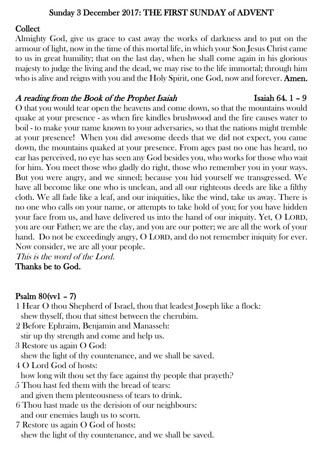## Sunday 3 December 2017: THE FIRST SUNDAY of ADVENT

## **Collect**

Almighty God, give us grace to cast away the works of darkness and to put on the armour of light, now in the time of this mortal life, in which your Son Jesus Christ came to us in great humility; that on the last day, when he shall come again in his glorious majesty to judge the living and the dead, we may rise to the life immortal; through him who is alive and reigns with you and the Holy Spirit, one God, now and forever. Amen.

# A reading from the Book of the Prophet Isaiah  $\sim$  Isaiah 64. 1 – 9

O that you would tear open the heavens and come down, so that the mountains would quake at your presence - as when fire kindles brushwood and the fire causes water to boil - to make your name known to your adversaries, so that the nations might tremble at your presence! When you did awesome deeds that we did not expect, you came down, the mountains quaked at your presence. From ages past no one has heard, no ear has perceived, no eye has seen any God besides you, who works for those who wait for him. You meet those who gladly do right, those who remember you in your ways. But you were angry, and we sinned; because you hid yourself we transgressed. We have all become like one who is unclean, and all our righteous deeds are like a filthy cloth. We all fade like a leaf, and our iniquities, like the wind, take us away. There is no one who calls on your name, or attempts to take hold of you; for you have hidden your face from us, and have delivered us into the hand of our iniquity. Yet, O LORD, you are our Father; we are the clay, and you are our potter; we are all the work of your hand. Do not be exceedingly angry, O LORD, and do not remember iniquity for ever. Now consider, we are all your people.

This is the word of the Lord. Thanks be to God.

# Psalm 80(vv1 – 7)

- 1 Hear O thou Shepherd of Israel, thou that leadest Joseph like a flock: shew thyself, thou that sittest between the cherubim.
- 2 Before Ephraim, Benjamin and Manasseh: stir up thy strength and come and help us.
- 3 Restore us again O God: shew the light of thy countenance, and we shall be saved.
- 4 O Lord God of hosts: how long wilt thou set thy face against thy people that prayeth?
- 5 Thou hast fed them with the bread of tears: and given them plenteousness of tears to drink.
- 6 Thou hast made us the derision of our neighbours: and our enemies laugh us to scorn.
- 7 Restore us again O God of hosts: shew the light of thy countenance, and we shall be saved.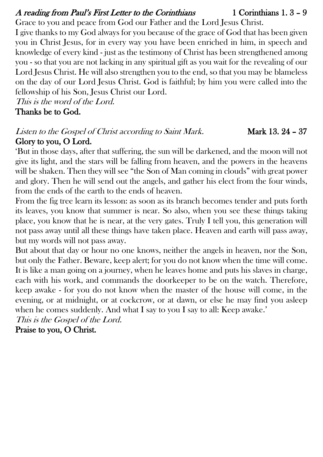# A reading from Paul's First Letter to the Corinthians 1 Corinthians 1. 3 - 9

Grace to you and peace from God our Father and the Lord Jesus Christ. I give thanks to my God always for you because of the grace of God that has been given you in Christ Jesus, for in every way you have been enriched in him, in speech and knowledge of every kind - just as the testimony of Christ has been strengthened among you - so that you are not lacking in any spiritual gift as you wait for the revealing of our Lord Jesus Christ. He will also strengthen you to the end, so that you may be blameless on the day of our Lord Jesus Christ. God is faithful; by him you were called into the fellowship of his Son, Jesus Christ our Lord.

This is the word of the Lord.

# Thanks be to God.

# Listen to the Gospel of Christ according to Saint Mark. Mark 13. 24 - 37 Glory to you, O Lord.

'But in those days, after that suffering, the sun will be darkened, and the moon will not give its light, and the stars will be falling from heaven, and the powers in the heavens will be shaken. Then they will see "the Son of Man coming in clouds" with great power and glory. Then he will send out the angels, and gather his elect from the four winds, from the ends of the earth to the ends of heaven.

From the fig tree learn its lesson: as soon as its branch becomes tender and puts forth its leaves, you know that summer is near. So also, when you see these things taking place, you know that he is near, at the very gates. Truly I tell you, this generation will not pass away until all these things have taken place. Heaven and earth will pass away, but my words will not pass away.

But about that day or hour no one knows, neither the angels in heaven, nor the Son, but only the Father. Beware, keep alert; for you do not know when the time will come. It is like a man going on a journey, when he leaves home and puts his slaves in charge, each with his work, and commands the doorkeeper to be on the watch. Therefore, keep awake - for you do not know when the master of the house will come, in the evening, or at midnight, or at cockcrow, or at dawn, or else he may find you asleep when he comes suddenly. And what I say to you I say to all: Keep awake.'

This is the Gospel of the Lord.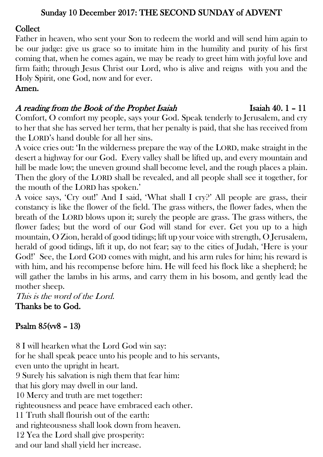## Sunday 10 December 2017: THE SECOND SUNDAY of ADVENT

# Collect

Father in heaven, who sent your Son to redeem the world and will send him again to be our judge: give us grace so to imitate him in the humility and purity of his first coming that, when he comes again, we may be ready to greet him with joyful love and firm faith; through Jesus Christ our Lord, who is alive and reigns with you and the Holy Spirit, one God, now and for ever.

## Amen.

# A reading from the Book of the Prophet Isaiah Isaiah Isaiah 40. 1 – 11

Comfort, O comfort my people, says your God. Speak tenderly to Jerusalem, and cry to her that she has served her term, that her penalty is paid, that she has received from the LORD's hand double for all her sins.

A voice cries out: 'In the wilderness prepare the way of the LORD, make straight in the desert a highway for our God. Every valley shall be lifted up, and every mountain and hill be made low; the uneven ground shall become level, and the rough places a plain. Then the glory of the LORD shall be revealed, and all people shall see it together, for the mouth of the LORD has spoken.'

A voice says, 'Cry out!' And I said, 'What shall I cry?' All people are grass, their constancy is like the flower of the field. The grass withers, the flower fades, when the breath of the LORD blows upon it; surely the people are grass. The grass withers, the flower fades; but the word of our God will stand for ever. Get you up to a high mountain, O Zion, herald of good tidings; lift up your voice with strength, O Jerusalem, herald of good tidings, lift it up, do not fear; say to the cities of Judah, 'Here is your God!' See, the Lord GOD comes with might, and his arm rules for him; his reward is with him, and his recompense before him. He will feed his flock like a shepherd; he will gather the lambs in his arms, and carry them in his bosom, and gently lead the mother sheep.

This is the word of the Lord. Thanks be to God.

# Psalm 85(vv8 – 13)

8 I will hearken what the Lord God win say: for he shall speak peace unto his people and to his servants, even unto the upright in heart. 9 Surely his salvation is nigh them that fear him: that his glory may dwell in our land. 10 Mercy and truth are met together: righteousness and peace have embraced each other. 11 Truth shall flourish out of the earth: and righteousness shall look down from heaven. 12 Yea the Lord shall give prosperity: and our land shall yield her increase.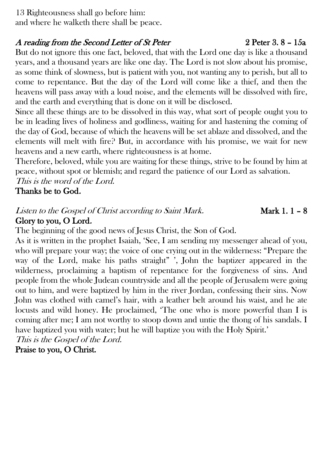13 Righteousness shall go before him: and where he walketh there shall be peace.

## A reading from the Second Letter of St Peter 2 Peter 3.8 - 15a

But do not ignore this one fact, beloved, that with the Lord one day is like a thousand years, and a thousand years are like one day. The Lord is not slow about his promise, as some think of slowness, but is patient with you, not wanting any to perish, but all to come to repentance. But the day of the Lord will come like a thief, and then the heavens will pass away with a loud noise, and the elements will be dissolved with fire, and the earth and everything that is done on it will be disclosed.

Since all these things are to be dissolved in this way, what sort of people ought you to be in leading lives of holiness and godliness, waiting for and hastening the coming of the day of God, because of which the heavens will be set ablaze and dissolved, and the elements will melt with fire? But, in accordance with his promise, we wait for new heavens and a new earth, where righteousness is at home.

Therefore, beloved, while you are waiting for these things, strive to be found by him at peace, without spot or blemish; and regard the patience of our Lord as salvation.

This is the word of the Lord.

Thanks be to God.

## Listen to the Gospel of Christ according to Saint Mark. Mark 1.1 - 8 Glory to you, O Lord.

The beginning of the good news of Jesus Christ, the Son of God.

As it is written in the prophet Isaiah, 'See, I am sending my messenger ahead of you, who will prepare your way; the voice of one crying out in the wilderness: "Prepare the way of the Lord, make his paths straight" ', John the baptizer appeared in the wilderness, proclaiming a baptism of repentance for the forgiveness of sins. And people from the whole Judean countryside and all the people of Jerusalem were going out to him, and were baptized by him in the river Jordan, confessing their sins. Now John was clothed with camel's hair, with a leather belt around his waist, and he ate locusts and wild honey. He proclaimed, 'The one who is more powerful than I is coming after me; I am not worthy to stoop down and untie the thong of his sandals. I have baptized you with water; but he will baptize you with the Holy Spirit.'

This is the Gospel of the Lord.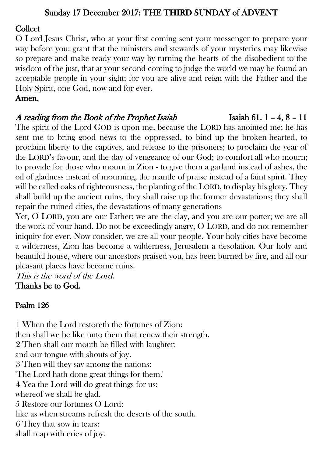## Sunday 17 December 2017: THE THIRD SUNDAY of ADVENT

## **Collect**

O Lord Jesus Christ, who at your first coming sent your messenger to prepare your way before you: grant that the ministers and stewards of your mysteries may likewise so prepare and make ready your way by turning the hearts of the disobedient to the wisdom of the just, that at your second coming to judge the world we may be found an acceptable people in your sight; for you are alive and reign with the Father and the Holy Spirit, one God, now and for ever.

## Amen.

# A reading from the Book of the Prophet Isaiah  $61.1 - 4, 8 - 11$

The spirit of the Lord GOD is upon me, because the LORD has anointed me; he has sent me to bring good news to the oppressed, to bind up the broken-hearted, to proclaim liberty to the captives, and release to the prisoners; to proclaim the year of the LORD's favour, and the day of vengeance of our God; to comfort all who mourn; to provide for those who mourn in Zion - to give them a garland instead of ashes, the oil of gladness instead of mourning, the mantle of praise instead of a faint spirit. They will be called oaks of righteousness, the planting of the LORD, to display his glory. They shall build up the ancient ruins, they shall raise up the former devastations; they shall repair the ruined cities, the devastations of many generations

Yet, O LORD, you are our Father; we are the clay, and you are our potter; we are all the work of your hand. Do not be exceedingly angry, O LORD, and do not remember iniquity for ever. Now consider, we are all your people. Your holy cities have become a wilderness, Zion has become a wilderness, Jerusalem a desolation. Our holy and beautiful house, where our ancestors praised you, has been burned by fire, and all our pleasant places have become ruins.

This is the word of the Lord. Thanks be to God.

### Psalm 126

1 When the Lord restoreth the fortunes of Zion: then shall we be like unto them that renew their strength. 2 Then shall our mouth be filled with laughter: and our tongue with shouts of joy. 3 Then will they say among the nations: 'The Lord hath done great things for them.' 4 Yea the Lord will do great things for us: whereof we shall be glad. 5 Restore our fortunes O Lord: like as when streams refresh the deserts of the south. 6 They that sow in tears: shall reap with cries of joy.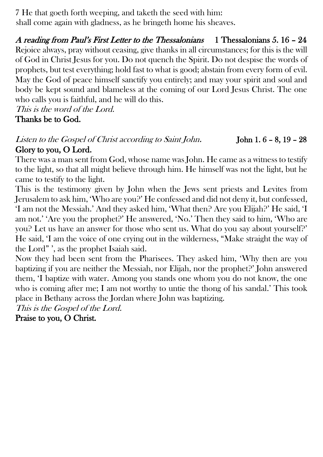7 He that goeth forth weeping, and taketh the seed with him: shall come again with gladness, as he bringeth home his sheaves.

A reading from Paul's First Letter to the Thessalonians 1 Thessalonians 5. 16 - 24 Rejoice always, pray without ceasing, give thanks in all circumstances; for this is the will of God in Christ Jesus for you. Do not quench the Spirit. Do not despise the words of prophets, but test everything; hold fast to what is good; abstain from every form of evil. May the God of peace himself sanctify you entirely; and may your spirit and soul and body be kept sound and blameless at the coming of our Lord Jesus Christ. The one who calls you is faithful, and he will do this.

This is the word of the Lord. Thanks be to God.

# Listen to the Gospel of Christ according to Saint John. John 1.6 - 8, 19 - 28

# Glory to you, O Lord.

There was a man sent from God, whose name was John. He came as a witness to testify to the light, so that all might believe through him. He himself was not the light, but he came to testify to the light.

This is the testimony given by John when the Jews sent priests and Levites from Jerusalem to ask him, 'Who are you?' He confessed and did not deny it, but confessed, 'I am not the Messiah.' And they asked him, 'What then? Are you Elijah?' He said, 'I am not.' 'Are you the prophet?' He answered, 'No.' Then they said to him, 'Who are you? Let us have an answer for those who sent us. What do you say about yourself?' He said, 'I am the voice of one crying out in the wilderness, "Make straight the way of the Lord" ', as the prophet Isaiah said.

Now they had been sent from the Pharisees. They asked him, 'Why then are you baptizing if you are neither the Messiah, nor Elijah, nor the prophet?' John answered them, 'I baptize with water. Among you stands one whom you do not know, the one who is coming after me; I am not worthy to untie the thong of his sandal.' This took place in Bethany across the Jordan where John was baptizing.

This is the Gospel of the Lord.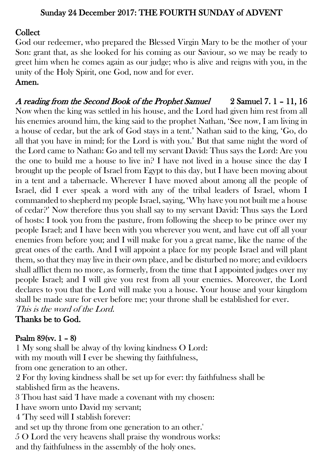## Sunday 24 December 2017: THE FOURTH SUNDAY of ADVENT

### **Collect**

God our redeemer, who prepared the Blessed Virgin Mary to be the mother of your Son: grant that, as she looked for his coming as our Saviour, so we may be ready to greet him when he comes again as our judge; who is alive and reigns with you, in the unity of the Holy Spirit, one God, now and for ever. Amen.

A reading from the Second Book of the Prophet Samuel 2 Samuel 7.1 - 11, 16 Now when the king was settled in his house, and the Lord had given him rest from all his enemies around him, the king said to the prophet Nathan, 'See now, I am living in a house of cedar, but the ark of God stays in a tent.' Nathan said to the king, 'Go, do all that you have in mind; for the Lord is with you.' But that same night the word of the Lord came to Nathan: Go and tell my servant David: Thus says the Lord: Are you the one to build me a house to live in? I have not lived in a house since the day I brought up the people of Israel from Egypt to this day, but I have been moving about in a tent and a tabernacle. Wherever I have moved about among all the people of Israel, did I ever speak a word with any of the tribal leaders of Israel, whom I commanded to shepherd my people Israel, saying, 'Why have you not built me a house of cedar?' Now therefore thus you shall say to my servant David: Thus says the Lord of hosts: I took you from the pasture, from following the sheep to be prince over my people Israel; and I have been with you wherever you went, and have cut off all your enemies from before you; and I will make for you a great name, like the name of the great ones of the earth. And I will appoint a place for my people Israel and will plant them, so that they may live in their own place, and be disturbed no more; and evildoers shall afflict them no more, as formerly, from the time that I appointed judges over my people Israel; and I will give you rest from all your enemies. Moreover, the Lord declares to you that the Lord will make you a house. Your house and your kingdom shall be made sure for ever before me; your throne shall be established for ever. This is the word of the Lord.

Thanks be to God.

### Psalm 89(vv. 1 – 8)

1 My song shall be alway of thy loving kindness O Lord: with my mouth will I ever be shewing thy faithfulness, from one generation to an other. 2 For thy loving kindness shall be set up for ever: thy faithfulness shall be

stablished firm as the heavens.

3 Thou hast said 'I have made a covenant with my chosen:

I have sworn unto David my servant;

4 'Thy seed will I stablish forever:

and set up thy throne from one generation to an other.'

5 O Lord the very heavens shall praise thy wondrous works:

and thy faithfulness in the assembly of the holy ones.